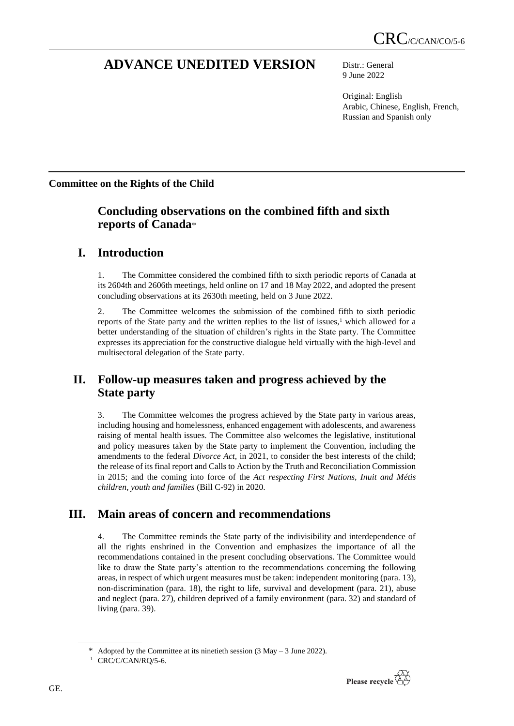# **ADVANCE UNEDITED VERSION** Distr.: General

9 June 2022

Original: English Arabic, Chinese, English, French, Russian and Spanish only

# **Committee on the Rights of the Child**

# **Concluding observations on the combined fifth and sixth reports of Canada**\*

# **I. Introduction**

1. The Committee considered the combined fifth to sixth periodic reports of Canada at its 2604th and 2606th meetings, held online on 17 and 18 May 2022, and adopted the present concluding observations at its 2630th meeting, held on 3 June 2022.

2. The Committee welcomes the submission of the combined fifth to sixth periodic reports of the State party and the written replies to the list of issues, $\frac{1}{1}$  which allowed for a better understanding of the situation of children's rights in the State party. The Committee expresses its appreciation for the constructive dialogue held virtually with the high-level and multisectoral delegation of the State party.

# **II. Follow-up measures taken and progress achieved by the State party**

3. The Committee welcomes the progress achieved by the State party in various areas, including housing and homelessness, enhanced engagement with adolescents, and awareness raising of mental health issues. The Committee also welcomes the legislative, institutional and policy measures taken by the State party to implement the Convention, including the amendments to the federal *Divorce Act*, in 2021, to consider the best interests of the child; the release of its final report and Calls to Action by the Truth and Reconciliation Commission in 2015; and the coming into force of the *Act respecting First Nations, Inuit and Métis children, youth and families* (Bill C-92) in 2020.

# **III. Main areas of concern and recommendations**

4. The Committee reminds the State party of the indivisibility and interdependence of all the rights enshrined in the Convention and emphasizes the importance of all the recommendations contained in the present concluding observations. The Committee would like to draw the State party's attention to the recommendations concerning the following areas, in respect of which urgent measures must be taken: independent monitoring (para. 13), non-discrimination (para. 18), the right to life, survival and development (para. 21), abuse and neglect (para. 27), children deprived of a family environment (para. 32) and standard of living (para. 39).



<sup>\*</sup> Adopted by the Committee at its ninetieth session (3 May – 3 June 2022).

<sup>&</sup>lt;sup>1</sup> CRC/C/CAN/RQ/5-6.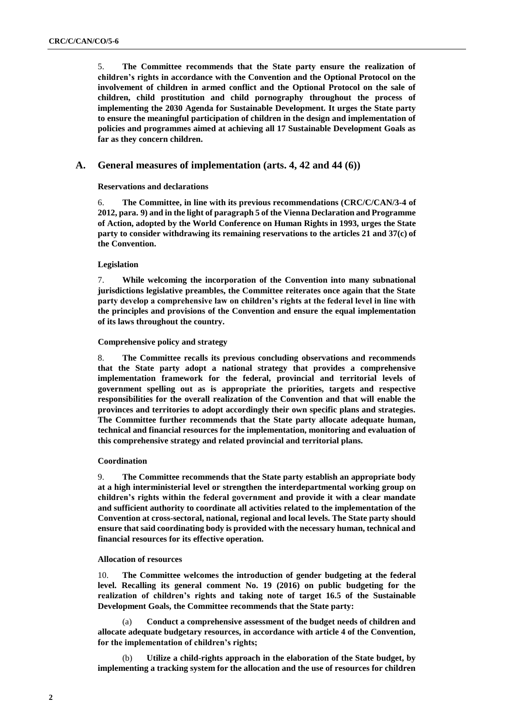5. **The Committee recommends that the State party ensure the realization of children's rights in accordance with the Convention and the Optional Protocol on the involvement of children in armed conflict and the Optional Protocol on the sale of children, child prostitution and child pornography throughout the process of implementing the 2030 Agenda for Sustainable Development. It urges the State party to ensure the meaningful participation of children in the design and implementation of policies and programmes aimed at achieving all 17 Sustainable Development Goals as far as they concern children.**

# **A. General measures of implementation (arts. 4, 42 and 44 (6))**

**Reservations and declarations**

6. **The Committee, in line with its previous recommendations (CRC/C/CAN/3-4 of 2012, para. 9) and in the light of paragraph 5 of the Vienna Declaration and Programme of Action, adopted by the World Conference on Human Rights in 1993, urges the State party to consider withdrawing its remaining reservations to the articles 21 and 37(c) of the Convention.**

## **Legislation**

7. **While welcoming the incorporation of the Convention into many subnational jurisdictions legislative preambles, the Committee reiterates once again that the State party develop a comprehensive law on children's rights at the federal level in line with the principles and provisions of the Convention and ensure the equal implementation of its laws throughout the country.**

## **Comprehensive policy and strategy**

8. **The Committee recalls its previous concluding observations and recommends that the State party adopt a national strategy that provides a comprehensive implementation framework for the federal, provincial and territorial levels of government spelling out as is appropriate the priorities, targets and respective responsibilities for the overall realization of the Convention and that will enable the provinces and territories to adopt accordingly their own specific plans and strategies. The Committee further recommends that the State party allocate adequate human, technical and financial resources for the implementation, monitoring and evaluation of this comprehensive strategy and related provincial and territorial plans.**

## **Coordination**

9. **The Committee recommends that the State party establish an appropriate body at a high interministerial level or strengthen the interdepartmental working group on children's rights within the federal government and provide it with a clear mandate and sufficient authority to coordinate all activities related to the implementation of the Convention at cross-sectoral, national, regional and local levels. The State party should ensure that said coordinating body is provided with the necessary human, technical and financial resources for its effective operation.**

## **Allocation of resources**

10. **The Committee welcomes the introduction of gender budgeting at the federal level. Recalling its general comment No. 19 (2016) on public budgeting for the realization of children's rights and taking note of target 16.5 of the Sustainable Development Goals, the Committee recommends that the State party:**

(a) **Conduct a comprehensive assessment of the budget needs of children and allocate adequate budgetary resources, in accordance with article 4 of the Convention, for the implementation of children's rights;**

(b) **Utilize a child-rights approach in the elaboration of the State budget, by implementing a tracking system for the allocation and the use of resources for children**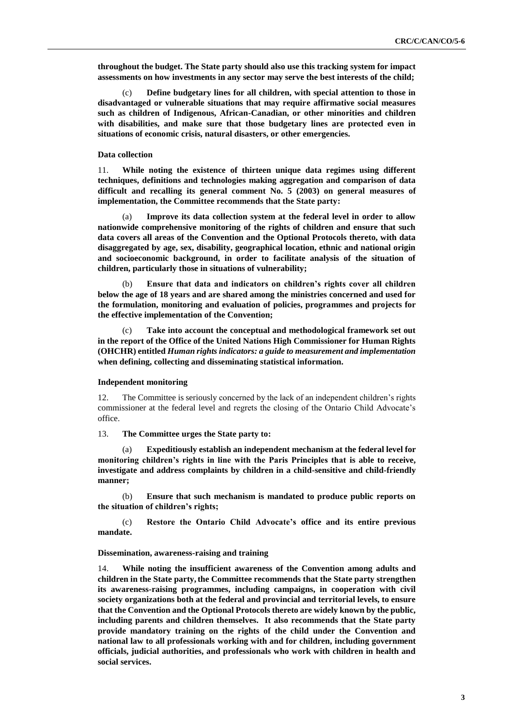**throughout the budget. The State party should also use this tracking system for impact assessments on how investments in any sector may serve the best interests of the child;**

(c) **Define budgetary lines for all children, with special attention to those in disadvantaged or vulnerable situations that may require affirmative social measures such as children of Indigenous, African-Canadian, or other minorities and children with disabilities, and make sure that those budgetary lines are protected even in situations of economic crisis, natural disasters, or other emergencies.**

### **Data collection**

11. **While noting the existence of thirteen unique data regimes using different techniques, definitions and technologies making aggregation and comparison of data difficult and recalling its general comment No. 5 (2003) on general measures of implementation, the Committee recommends that the State party:**

(a) **Improve its data collection system at the federal level in order to allow nationwide comprehensive monitoring of the rights of children and ensure that such data covers all areas of the Convention and the Optional Protocols thereto, with data disaggregated by age, sex, disability, geographical location, ethnic and national origin and socioeconomic background, in order to facilitate analysis of the situation of children, particularly those in situations of vulnerability;**

(b) **Ensure that data and indicators on children's rights cover all children below the age of 18 years and are shared among the ministries concerned and used for the formulation, monitoring and evaluation of policies, programmes and projects for the effective implementation of the Convention;**

(c) **Take into account the conceptual and methodological framework set out in the report of the Office of the United Nations High Commissioner for Human Rights (OHCHR) entitled** *Human rights indicators: a guide to measurement and implementation*  **when defining, collecting and disseminating statistical information.**

#### **Independent monitoring**

12. The Committee is seriously concerned by the lack of an independent children's rights commissioner at the federal level and regrets the closing of the Ontario Child Advocate's office.

13. **The Committee urges the State party to:**

(a) **Expeditiously establish an independent mechanism at the federal level for monitoring children's rights in line with the Paris Principles that is able to receive, investigate and address complaints by children in a child-sensitive and child-friendly manner;**

(b) **Ensure that such mechanism is mandated to produce public reports on the situation of children's rights;**

(c) **Restore the Ontario Child Advocate's office and its entire previous mandate.**

#### **Dissemination, awareness-raising and training**

14. **While noting the insufficient awareness of the Convention among adults and**  children in the State party, the Committee recommends that the State party strengthen **its awareness-raising programmes, including campaigns, in cooperation with civil society organizations both at the federal and provincial and territorial levels, to ensure that the Convention and the Optional Protocols thereto are widely known by the public, including parents and children themselves. It also recommends that the State party provide mandatory training on the rights of the child under the Convention and national law to all professionals working with and for children, including government officials, judicial authorities, and professionals who work with children in health and social services.**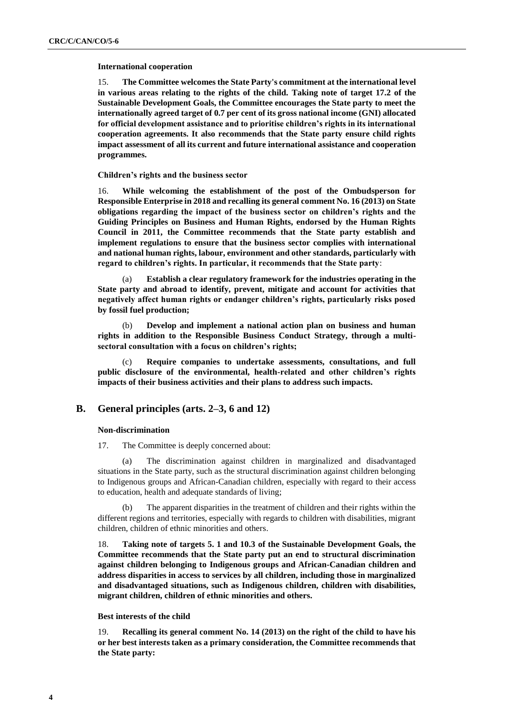## **International cooperation**

15. **The Committee welcomes the State Party's commitment at the international level in various areas relating to the rights of the child. Taking note of target 17.2 of the Sustainable Development Goals, the Committee encourages the State party to meet the internationally agreed target of 0.7 per cent of its gross national income (GNI) allocated for official development assistance and to prioritise children's rights in its international cooperation agreements. It also recommends that the State party ensure child rights impact assessment of all its current and future international assistance and cooperation programmes.**

## **Children's rights and the business sector**

16. **While welcoming the establishment of the post of the Ombudsperson for Responsible Enterprise in 2018 and recalling its general comment No. 16 (2013) on State obligations regarding the impact of the business sector on children's rights and the Guiding Principles on Business and Human Rights, endorsed by the Human Rights Council in 2011, the Committee recommends that the State party establish and implement regulations to ensure that the business sector complies with international and national human rights, labour, environment and other standards, particularly with regard to children's rights. In particular, it recommends that the State party**:

(a) **Establish a clear regulatory framework for the industries operating in the State party and abroad to identify, prevent, mitigate and account for activities that negatively affect human rights or endanger children's rights, particularly risks posed by fossil fuel production;**

(b) **Develop and implement a national action plan on business and human rights in addition to the Responsible Business Conduct Strategy, through a multisectoral consultation with a focus on children's rights;**

Require companies to undertake assessments, consultations, and full **public disclosure of the environmental, health-related and other children's rights impacts of their business activities and their plans to address such impacts.**

# **B. General principles (arts. 2–3, 6 and 12)**

## **Non-discrimination**

17. The Committee is deeply concerned about:

(a) The discrimination against children in marginalized and disadvantaged situations in the State party, such as the structural discrimination against children belonging to Indigenous groups and African-Canadian children, especially with regard to their access to education, health and adequate standards of living;

(b) The apparent disparities in the treatment of children and their rights within the different regions and territories, especially with regards to children with disabilities, migrant children, children of ethnic minorities and others.

18. **Taking note of targets 5. 1 and 10.3 of the Sustainable Development Goals, the Committee recommends that the State party put an end to structural discrimination against children belonging to Indigenous groups and African-Canadian children and address disparities in access to services by all children, including those in marginalized and disadvantaged situations, such as Indigenous children, children with disabilities, migrant children, children of ethnic minorities and others.**

## **Best interests of the child**

19. **Recalling its general comment No. 14 (2013) on the right of the child to have his or her best interests taken as a primary consideration, the Committee recommends that the State party:**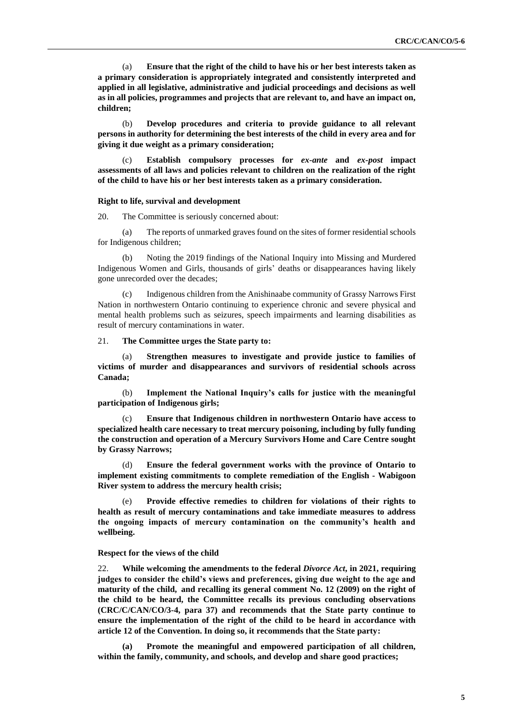(a) **Ensure that the right of the child to have his or her best interests taken as a primary consideration is appropriately integrated and consistently interpreted and applied in all legislative, administrative and judicial proceedings and decisions as well as in all policies, programmes and projects that are relevant to, and have an impact on, children;**

(b) **Develop procedures and criteria to provide guidance to all relevant persons in authority for determining the best interests of the child in every area and for giving it due weight as a primary consideration;**

(c) **Establish compulsory processes for** *ex-ante* **and** *ex-post* **impact assessments of all laws and policies relevant to children on the realization of the right of the child to have his or her best interests taken as a primary consideration.**

#### **Right to life, survival and development**

20. The Committee is seriously concerned about:

(a) The reports of unmarked graves found on the sites of former residential schools for Indigenous children;

(b) Noting the 2019 findings of the National Inquiry into Missing and Murdered Indigenous Women and Girls, thousands of girls' deaths or disappearances having likely gone unrecorded over the decades;

(c) Indigenous children from the Anishinaabe community of Grassy Narrows First Nation in northwestern Ontario continuing to experience chronic and severe physical and mental health problems such as seizures, speech impairments and learning disabilities as result of mercury contaminations in water.

### 21. **The Committee urges the State party to:**

(a) **Strengthen measures to investigate and provide justice to families of victims of murder and disappearances and survivors of residential schools across Canada;**

(b) **Implement the National Inquiry's calls for justice with the meaningful participation of Indigenous girls;**

(c) **Ensure that Indigenous children in northwestern Ontario have access to specialized health care necessary to treat mercury poisoning, including by fully funding the construction and operation of a Mercury Survivors Home and Care Centre sought by Grassy Narrows;**

(d) **Ensure the federal government works with the province of Ontario to implement existing commitments to complete remediation of the English - Wabigoon River system to address the mercury health crisis;**

(e) **Provide effective remedies to children for violations of their rights to health as result of mercury contaminations and take immediate measures to address the ongoing impacts of mercury contamination on the community's health and wellbeing.**

#### **Respect for the views of the child**

22. **While welcoming the amendments to the federal** *Divorce Act***, in 2021, requiring judges to consider the child's views and preferences, giving due weight to the age and maturity of the child, and recalling its general comment No. 12 (2009) on the right of the child to be heard, the Committee recalls its previous concluding observations (CRC/C/CAN/CO/3-4, para 37) and recommends that the State party continue to ensure the implementation of the right of the child to be heard in accordance with article 12 of the Convention. In doing so, it recommends that the State party:**

**(a) Promote the meaningful and empowered participation of all children, within the family, community, and schools, and develop and share good practices;**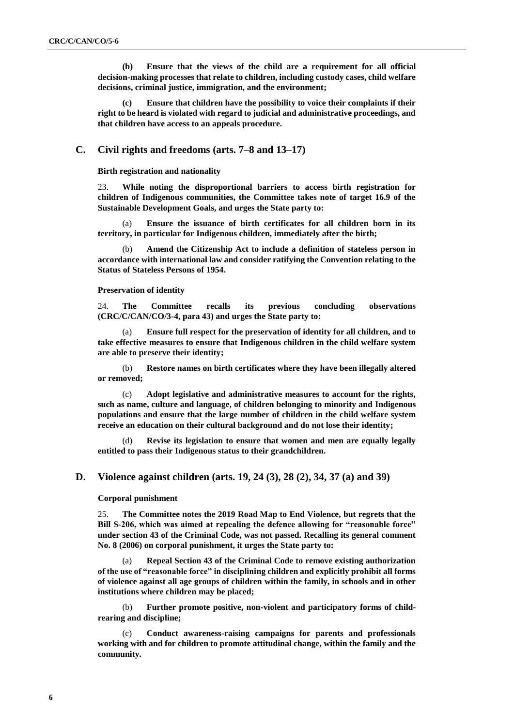**(b) Ensure that the views of the child are a requirement for all official decision-making processes that relate to children, including custody cases, child welfare decisions, criminal justice, immigration, and the environment;**

**(c) Ensure that children have the possibility to voice their complaints if their right to be heard is violated with regard to judicial and administrative proceedings, and that children have access to an appeals procedure.**

### **C. Civil rights and freedoms (arts. 7–8 and 13–17)**

**Birth registration and nationality**

23. **While noting the disproportional barriers to access birth registration for children of Indigenous communities, the Committee takes note of target 16.9 of the Sustainable Development Goals, and urges the State party to:**

(a) **Ensure the issuance of birth certificates for all children born in its territory, in particular for Indigenous children, immediately after the birth;**

(b) **Amend the Citizenship Act to include a definition of stateless person in accordance with international law and consider ratifying the Convention relating to the Status of Stateless Persons of 1954.**

#### **Preservation of identity**

24. **The Committee recalls its previous concluding observations (CRC/C/CAN/CO/3-4, para 43) and urges the State party to:**

(a) **Ensure full respect for the preservation of identity for all children, and to take effective measures to ensure that Indigenous children in the child welfare system are able to preserve their identity;**

(b) **Restore names on birth certificates where they have been illegally altered or removed;**

(c) **Adopt legislative and administrative measures to account for the rights, such as name, culture and language, of children belonging to minority and Indigenous populations and ensure that the large number of children in the child welfare system receive an education on their cultural background and do not lose their identity;**

Revise its legislation to ensure that women and men are equally legally **entitled to pass their Indigenous status to their grandchildren.**

## **D. Violence against children (arts. 19, 24 (3), 28 (2), 34, 37 (a) and 39)**

#### **Corporal punishment**

25. **The Committee notes the 2019 Road Map to End Violence, but regrets that the Bill S-206, which was aimed at repealing the defence allowing for "reasonable force" under section 43 of the Criminal Code, was not passed. Recalling its general comment No. 8 (2006) on corporal punishment, it urges the State party to:**

Repeal Section 43 of the Criminal Code to remove existing authorization **of the use of "reasonable force" in disciplining children and explicitly prohibit all forms of violence against all age groups of children within the family, in schools and in other institutions where children may be placed;**

(b) **Further promote positive, non-violent and participatory forms of childrearing and discipline;**

(c) **Conduct awareness-raising campaigns for parents and professionals working with and for children to promote attitudinal change, within the family and the community.**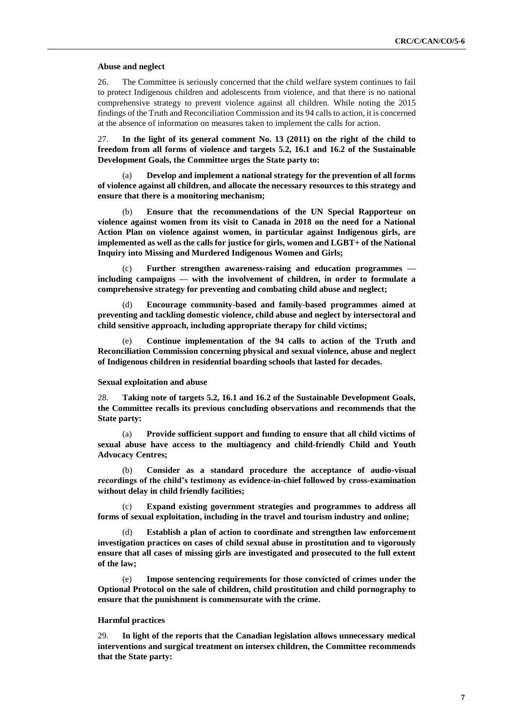#### **Abuse and neglect**

26. The Committee is seriously concerned that the child welfare system continues to fail to protect Indigenous children and adolescents from violence, and that there is no national comprehensive strategy to prevent violence against all children. While noting the 2015 findings of the Truth and Reconciliation Commission and its 94 calls to action, it is concerned at the absence of information on measures taken to implement the calls for action.

27. **In the light of its general comment No. 13 (2011) on the right of the child to freedom from all forms of violence and targets 5.2, 16.1 and 16.2 of the Sustainable Development Goals, the Committee urges the State party to:**

(a) **Develop and implement a national strategy for the prevention of all forms of violence against all children, and allocate the necessary resources to this strategy and ensure that there is a monitoring mechanism;**

(b) **Ensure that the recommendations of the UN Special Rapporteur on violence against women from its visit to Canada in 2018 on the need for a National Action Plan on violence against women, in particular against Indigenous girls, are implemented as well as the calls for justice for girls, women and LGBT+ of the National Inquiry into Missing and Murdered Indigenous Women and Girls;**

Further strengthen awareness-raising and education programmes **including campaigns — with the involvement of children, in order to formulate a comprehensive strategy for preventing and combating child abuse and neglect;**

(d) **Encourage community-based and family-based programmes aimed at preventing and tackling domestic violence, child abuse and neglect by intersectoral and child sensitive approach, including appropriate therapy for child victims;** 

Continue implementation of the 94 calls to action of the Truth and **Reconciliation Commission concerning physical and sexual violence, abuse and neglect of Indigenous children in residential boarding schools that lasted for decades.**

#### **Sexual exploitation and abuse**

28. **Taking note of targets 5.2, 16.1 and 16.2 of the Sustainable Development Goals, the Committee recalls its previous concluding observations and recommends that the State party:**

(a) **Provide sufficient support and funding to ensure that all child victims of sexual abuse have access to the multiagency and child-friendly Child and Youth Advocacy Centres;** 

(b) **Consider as a standard procedure the acceptance of audio-visual recordings of the child's testimony as evidence-in-chief followed by cross-examination without delay in child friendly facilities;**

(c) **Expand existing government strategies and programmes to address all forms of sexual exploitation, including in the travel and tourism industry and online;**

Establish a plan of action to coordinate and strengthen law enforcement **investigation practices on cases of child sexual abuse in prostitution and to vigorously ensure that all cases of missing girls are investigated and prosecuted to the full extent of the law;**

(e) **Impose sentencing requirements for those convicted of crimes under the Optional Protocol on the sale of children, child prostitution and child pornography to ensure that the punishment is commensurate with the crime.**

#### **Harmful practices**

29. **In light of the reports that the Canadian legislation allows unnecessary medical interventions and surgical treatment on intersex children, the Committee recommends that the State party:**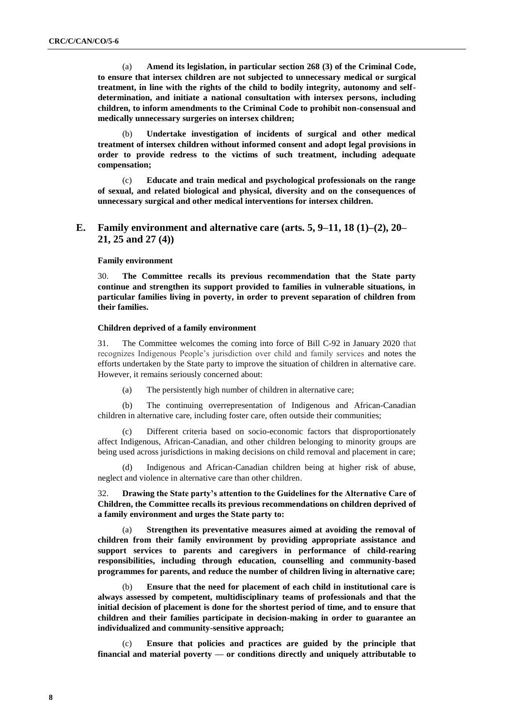(a) **Amend its legislation, in particular section 268 (3) of the Criminal Code, to ensure that intersex children are not subjected to unnecessary medical or surgical treatment, in line with the rights of the child to bodily integrity, autonomy and selfdetermination, and initiate a national consultation with intersex persons, including children, to inform amendments to the Criminal Code to prohibit non-consensual and medically unnecessary surgeries on intersex children;**

(b) **Undertake investigation of incidents of surgical and other medical treatment of intersex children without informed consent and adopt legal provisions in order to provide redress to the victims of such treatment, including adequate compensation;** 

(c) **Educate and train medical and psychological professionals on the range of sexual, and related biological and physical, diversity and on the consequences of unnecessary surgical and other medical interventions for intersex children.** 

# **E. Family environment and alternative care (arts. 5, 9–11, 18 (1)–(2), 20– 21, 25 and 27 (4))**

### **Family environment**

30. **The Committee recalls its previous recommendation that the State party continue and strengthen its support provided to families in vulnerable situations, in particular families living in poverty, in order to prevent separation of children from their families.**

#### **Children deprived of a family environment**

31. The Committee welcomes the coming into force of Bill C-92 in January 2020 that recognizes Indigenous People's jurisdiction over child and family services and notes the efforts undertaken by the State party to improve the situation of children in alternative care. However, it remains seriously concerned about:

(a) The persistently high number of children in alternative care;

(b) The continuing overrepresentation of Indigenous and African-Canadian children in alternative care, including foster care, often outside their communities;

(c) Different criteria based on socio-economic factors that disproportionately affect Indigenous, African-Canadian, and other children belonging to minority groups are being used across jurisdictions in making decisions on child removal and placement in care;

(d) Indigenous and African-Canadian children being at higher risk of abuse, neglect and violence in alternative care than other children.

32. **Drawing the State party's attention to the Guidelines for the Alternative Care of Children, the Committee recalls its previous recommendations on children deprived of a family environment and urges the State party to:**

(a) **Strengthen its preventative measures aimed at avoiding the removal of children from their family environment by providing appropriate assistance and support services to parents and caregivers in performance of child-rearing responsibilities, including through education, counselling and community-based programmes for parents, and reduce the number of children living in alternative care;**

(b) **Ensure that the need for placement of each child in institutional care is always assessed by competent, multidisciplinary teams of professionals and that the initial decision of placement is done for the shortest period of time, and to ensure that children and their families participate in decision-making in order to guarantee an individualized and community-sensitive approach;**

(c) **Ensure that policies and practices are guided by the principle that financial and material poverty — or conditions directly and uniquely attributable to**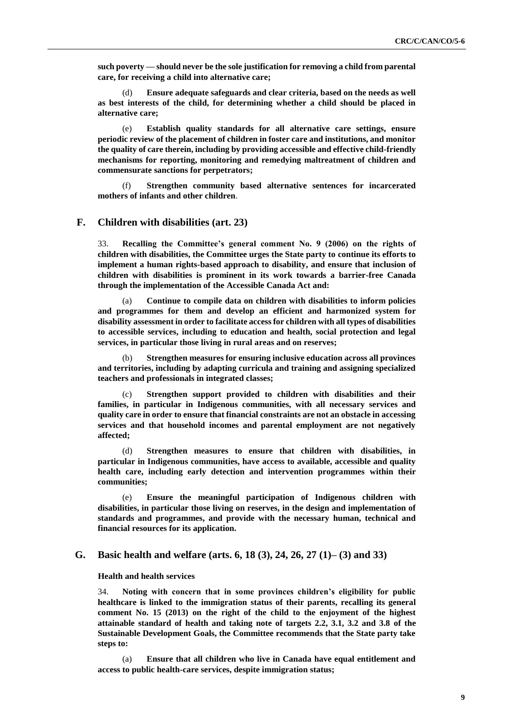**such poverty — should never be the sole justification for removing a child from parental care, for receiving a child into alternative care;** 

(d) **Ensure adequate safeguards and clear criteria, based on the needs as well as best interests of the child, for determining whether a child should be placed in alternative care;**

(e) **Establish quality standards for all alternative care settings, ensure periodic review of the placement of children in foster care and institutions, and monitor the quality of care therein, including by providing accessible and effective child-friendly mechanisms for reporting, monitoring and remedying maltreatment of children and commensurate sanctions for perpetrators;**

(f) **Strengthen community based alternative sentences for incarcerated mothers of infants and other children**.

# **F. Children with disabilities (art. 23)**

33. **Recalling the Committee's general comment No. 9 (2006) on the rights of children with disabilities, the Committee urges the State party to continue its efforts to implement a human rights-based approach to disability, and ensure that inclusion of children with disabilities is prominent in its work towards a barrier-free Canada through the implementation of the Accessible Canada Act and:**

(a) **Continue to compile data on children with disabilities to inform policies and programmes for them and develop an efficient and harmonized system for disability assessment in order to facilitate access for children with all types of disabilities to accessible services, including to education and health, social protection and legal services, in particular those living in rural areas and on reserves;**

(b) **Strengthen measures for ensuring inclusive education across all provinces and territories, including by adapting curricula and training and assigning specialized teachers and professionals in integrated classes;** 

(c) **Strengthen support provided to children with disabilities and their families, in particular in Indigenous communities, with all necessary services and quality care in order to ensure that financial constraints are not an obstacle in accessing services and that household incomes and parental employment are not negatively affected;** 

(d) **Strengthen measures to ensure that children with disabilities, in particular in Indigenous communities, have access to available, accessible and quality health care, including early detection and intervention programmes within their communities;**

(e) **Ensure the meaningful participation of Indigenous children with disabilities, in particular those living on reserves, in the design and implementation of standards and programmes, and provide with the necessary human, technical and financial resources for its application.** 

## **G. Basic health and welfare (arts. 6, 18 (3), 24, 26, 27 (1)– (3) and 33)**

#### **Health and health services**

34. **Noting with concern that in some provinces children's eligibility for public healthcare is linked to the immigration status of their parents, recalling its general comment No. 15 (2013) on the right of the child to the enjoyment of the highest attainable standard of health and taking note of targets 2.2, 3.1, 3.2 and 3.8 of the Sustainable Development Goals, the Committee recommends that the State party take steps to:**

(a) **Ensure that all children who live in Canada have equal entitlement and access to public health-care services, despite immigration status;**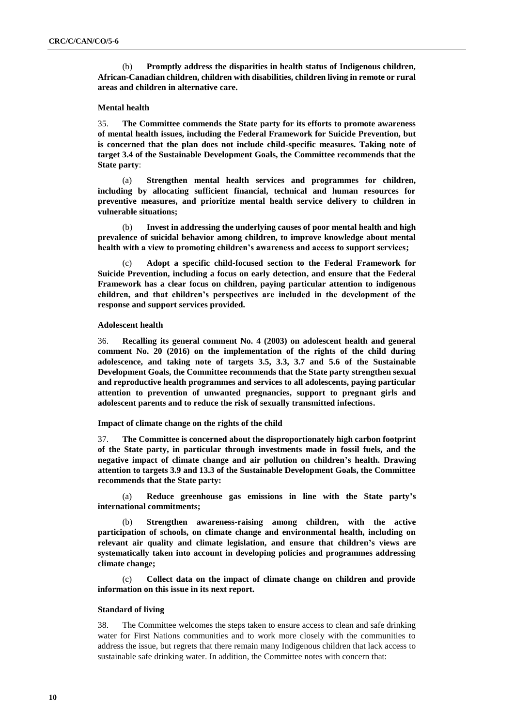(b) **Promptly address the disparities in health status of Indigenous children, African-Canadian children, children with disabilities, children living in remote or rural areas and children in alternative care.**

## **Mental health**

35. **The Committee commends the State party for its efforts to promote awareness of mental health issues, including the Federal Framework for Suicide Prevention, but is concerned that the plan does not include child-specific measures. Taking note of target 3.4 of the Sustainable Development Goals, the Committee recommends that the State party**:

(a) **Strengthen mental health services and programmes for children, including by allocating sufficient financial, technical and human resources for preventive measures, and prioritize mental health service delivery to children in vulnerable situations;**

(b) **Invest in addressing the underlying causes of poor mental health and high prevalence of suicidal behavior among children, to improve knowledge about mental health with a view to promoting children's awareness and access to support services;**

(c) **Adopt a specific child-focused section to the Federal Framework for Suicide Prevention, including a focus on early detection, and ensure that the Federal Framework has a clear focus on children, paying particular attention to indigenous children, and that children's perspectives are included in the development of the response and support services provided.**

## **Adolescent health**

36. **Recalling its general comment No. 4 (2003) on adolescent health and general comment No. 20 (2016) on the implementation of the rights of the child during adolescence, and taking note of targets 3.5, 3.3, 3.7 and 5.6 of the Sustainable Development Goals, the Committee recommends that the State party strengthen sexual and reproductive health programmes and services to all adolescents, paying particular attention to prevention of unwanted pregnancies, support to pregnant girls and adolescent parents and to reduce the risk of sexually transmitted infections.**

#### **Impact of climate change on the rights of the child**

37. **The Committee is concerned about the disproportionately high carbon footprint of the State party, in particular through investments made in fossil fuels, and the negative impact of climate change and air pollution on children's health. Drawing attention to targets 3.9 and 13.3 of the Sustainable Development Goals, the Committee recommends that the State party:**

(a) **Reduce greenhouse gas emissions in line with the State party's international commitments;**

Strengthen awareness-raising among children, with the active **participation of schools, on climate change and environmental health, including on relevant air quality and climate legislation, and ensure that children's views are systematically taken into account in developing policies and programmes addressing climate change;**

(c) **Collect data on the impact of climate change on children and provide information on this issue in its next report.**

### **Standard of living**

38. The Committee welcomes the steps taken to ensure access to clean and safe drinking water for First Nations communities and to work more closely with the communities to address the issue, but regrets that there remain many Indigenous children that lack access to sustainable safe drinking water. In addition, the Committee notes with concern that: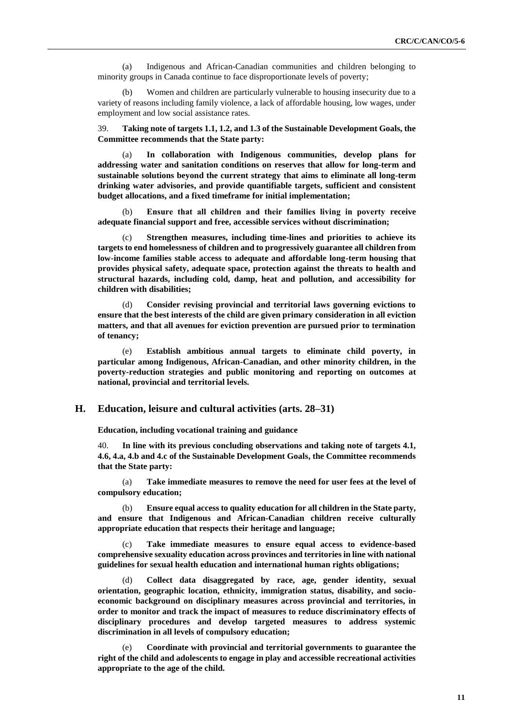(a) Indigenous and African-Canadian communities and children belonging to minority groups in Canada continue to face disproportionate levels of poverty;

(b) Women and children are particularly vulnerable to housing insecurity due to a variety of reasons including family violence, a lack of affordable housing, low wages, under employment and low social assistance rates.

39. **Taking note of targets 1.1, 1.2, and 1.3 of the Sustainable Development Goals, the Committee recommends that the State party:** 

(a) **In collaboration with Indigenous communities, develop plans for addressing water and sanitation conditions on reserves that allow for long-term and sustainable solutions beyond the current strategy that aims to eliminate all long-term drinking water advisories, and provide quantifiable targets, sufficient and consistent budget allocations, and a fixed timeframe for initial implementation;**

(b) **Ensure that all children and their families living in poverty receive adequate financial support and free, accessible services without discrimination;**

(c) **Strengthen measures, including time-lines and priorities to achieve its targets to end homelessness of children and to progressively guarantee all children from low-income families stable access to adequate and affordable long-term housing that provides physical safety, adequate space, protection against the threats to health and structural hazards, including cold, damp, heat and pollution, and accessibility for children with disabilities;** 

(d) **Consider revising provincial and territorial laws governing evictions to ensure that the best interests of the child are given primary consideration in all eviction matters, and that all avenues for eviction prevention are pursued prior to termination of tenancy;**

(e) **Establish ambitious annual targets to eliminate child poverty, in particular among Indigenous, African-Canadian, and other minority children, in the poverty-reduction strategies and public monitoring and reporting on outcomes at national, provincial and territorial levels.** 

## **H. Education, leisure and cultural activities (arts. 28–31)**

**Education, including vocational training and guidance**

40. **In line with its previous concluding observations and taking note of targets 4.1, 4.6, 4.a, 4.b and 4.c of the Sustainable Development Goals, the Committee recommends that the State party:**

(a) **Take immediate measures to remove the need for user fees at the level of compulsory education;**

(b) **Ensure equal access to quality education for all children in the State party, and ensure that Indigenous and African-Canadian children receive culturally appropriate education that respects their heritage and language;**

(c) **Take immediate measures to ensure equal access to evidence-based comprehensive sexuality education across provinces and territories in line with national guidelines for sexual health education and international human rights obligations;**

(d) **Collect data disaggregated by race, age, gender identity, sexual orientation, geographic location, ethnicity, immigration status, disability, and socioeconomic background on disciplinary measures across provincial and territories, in order to monitor and track the impact of measures to reduce discriminatory effects of disciplinary procedures and develop targeted measures to address systemic discrimination in all levels of compulsory education;**

(e) **Coordinate with provincial and territorial governments to guarantee the right of the child and adolescents to engage in play and accessible recreational activities appropriate to the age of the child.**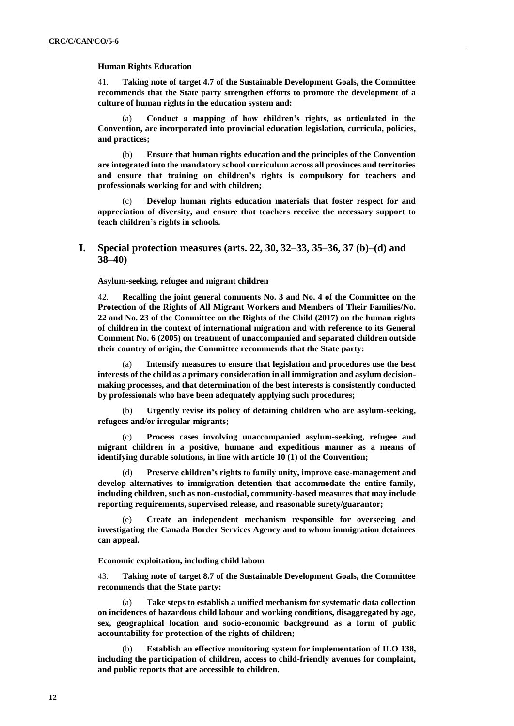## **Human Rights Education**

41. **Taking note of target 4.7 of the Sustainable Development Goals, the Committee recommends that the State party strengthen efforts to promote the development of a culture of human rights in the education system and:**

(a) **Conduct a mapping of how children's rights, as articulated in the Convention, are incorporated into provincial education legislation, curricula, policies, and practices;**

(b) **Ensure that human rights education and the principles of the Convention are integrated into the mandatory school curriculum across all provinces and territories and ensure that training on children's rights is compulsory for teachers and professionals working for and with children;**

(c) **Develop human rights education materials that foster respect for and appreciation of diversity, and ensure that teachers receive the necessary support to teach children's rights in schools.**

# **I. Special protection measures (arts. 22, 30, 32–33, 35–36, 37 (b)–(d) and 38–40)**

**Asylum-seeking, refugee and migrant children**

42. **Recalling the joint general comments No. 3 and No. 4 of the Committee on the Protection of the Rights of All Migrant Workers and Members of Their Families/No. 22 and No. 23 of the Committee on the Rights of the Child (2017) on the human rights of children in the context of international migration and with reference to its General Comment No. 6 (2005) on treatment of unaccompanied and separated children outside their country of origin, the Committee recommends that the State party:** 

(a) **Intensify measures to ensure that legislation and procedures use the best interests of the child as a primary consideration in all immigration and asylum decisionmaking processes, and that determination of the best interests is consistently conducted by professionals who have been adequately applying such procedures;**

(b) **Urgently revise its policy of detaining children who are asylum-seeking, refugees and/or irregular migrants;** 

(c) **Process cases involving unaccompanied asylum-seeking, refugee and migrant children in a positive, humane and expeditious manner as a means of identifying durable solutions, in line with article 10 (1) of the Convention;** 

(d) **Preserve children's rights to family unity, improve case-management and develop alternatives to immigration detention that accommodate the entire family, including children, such as non-custodial, community-based measures that may include reporting requirements, supervised release, and reasonable surety/guarantor;**

Create an independent mechanism responsible for overseeing and **investigating the Canada Border Services Agency and to whom immigration detainees can appeal.** 

## **Economic exploitation, including child labour**

43. **Taking note of target 8.7 of the Sustainable Development Goals, the Committee recommends that the State party:**

(a) **Take steps to establish a unified mechanism for systematic data collection on incidences of hazardous child labour and working conditions, disaggregated by age, sex, geographical location and socio-economic background as a form of public accountability for protection of the rights of children;**

(b) **Establish an effective monitoring system for implementation of ILO 138, including the participation of children, access to child-friendly avenues for complaint, and public reports that are accessible to children.**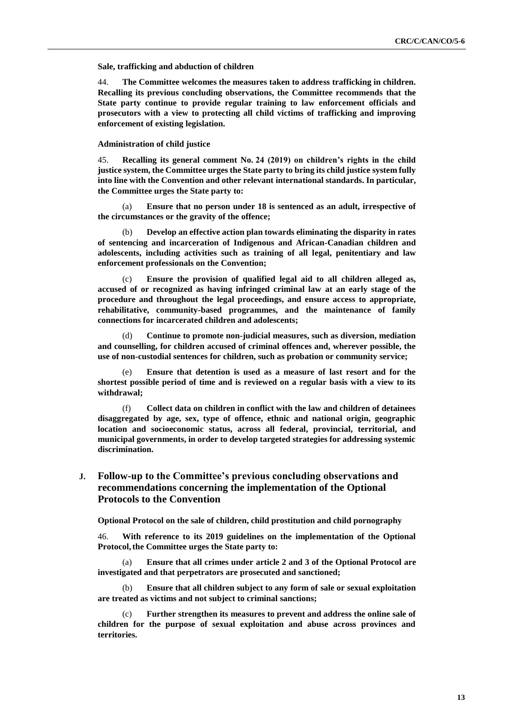**Sale, trafficking and abduction of children**

44. **The Committee welcomes the measures taken to address trafficking in children. Recalling its previous concluding observations, the Committee recommends that the State party continue to provide regular training to law enforcement officials and prosecutors with a view to protecting all child victims of trafficking and improving enforcement of existing legislation.** 

**Administration of child justice** 

45. **Recalling its general comment No. 24 (2019) on children's rights in the child justice system, the Committee urges the State party to bring its child justice system fully into line with the Convention and other relevant international standards. In particular, the Committee urges the State party to:**

(a) **Ensure that no person under 18 is sentenced as an adult, irrespective of the circumstances or the gravity of the offence;**

(b) **Develop an effective action plan towards eliminating the disparity in rates of sentencing and incarceration of Indigenous and African-Canadian children and adolescents, including activities such as training of all legal, penitentiary and law enforcement professionals on the Convention;**

(c) **Ensure the provision of qualified legal aid to all children alleged as, accused of or recognized as having infringed criminal law at an early stage of the procedure and throughout the legal proceedings, and ensure access to appropriate, rehabilitative, community-based programmes, and the maintenance of family connections for incarcerated children and adolescents;**

(d) **Continue to promote non-judicial measures, such as diversion, mediation and counselling, for children accused of criminal offences and, wherever possible, the use of non-custodial sentences for children, such as probation or community service;**

Ensure that detention is used as a measure of last resort and for the **shortest possible period of time and is reviewed on a regular basis with a view to its withdrawal;**

(f) **Collect data on children in conflict with the law and children of detainees disaggregated by age, sex, type of offence, ethnic and national origin, geographic location and socioeconomic status, across all federal, provincial, territorial, and municipal governments, in order to develop targeted strategies for addressing systemic discrimination.**

# **J. Follow-up to the Committee's previous concluding observations and recommendations concerning the implementation of the Optional Protocols to the Convention**

**Optional Protocol on the sale of children, child prostitution and child pornography**

46. **With reference to its 2019 guidelines on the implementation of the Optional Protocol,the Committee urges the State party to:**

(a) **Ensure that all crimes under article 2 and 3 of the Optional Protocol are investigated and that perpetrators are prosecuted and sanctioned;** 

(b) **Ensure that all children subject to any form of sale or sexual exploitation are treated as victims and not subject to criminal sanctions;**

Further strengthen its measures to prevent and address the online sale of **children for the purpose of sexual exploitation and abuse across provinces and territories.**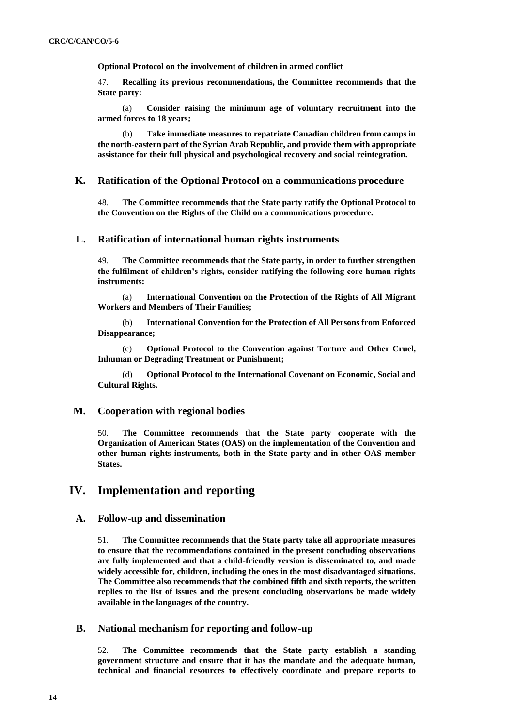**Optional Protocol on the involvement of children in armed conflict**

47. **Recalling its previous recommendations, the Committee recommends that the State party:**

(a) **Consider raising the minimum age of voluntary recruitment into the armed forces to 18 years;**

(b) **Take immediate measures to repatriate Canadian children from camps in the north-eastern part of the Syrian Arab Republic, and provide them with appropriate assistance for their full physical and psychological recovery and social reintegration.**

# **K. Ratification of the Optional Protocol on a communications procedure**

48. **The Committee recommends that the State party ratify the Optional Protocol to the Convention on the Rights of the Child on a communications procedure***.* 

# **L. Ratification of international human rights instruments**

49. **The Committee recommends that the State party, in order to further strengthen the fulfilment of children's rights, consider ratifying the following core human rights instruments:**

(a) **International Convention on the Protection of the Rights of All Migrant Workers and Members of Their Families;** 

(b) **International Convention for the Protection of All Persons from Enforced Disappearance;**

(c) **Optional Protocol to the Convention against Torture and Other Cruel, Inhuman or Degrading Treatment or Punishment;**

(d) **Optional Protocol to the International Covenant on Economic, Social and Cultural Rights.**

## **M. Cooperation with regional bodies**

50. **The Committee recommends that the State party cooperate with the Organization of American States (OAS) on the implementation of the Convention and other human rights instruments, both in the State party and in other OAS member States.**

# **IV. Implementation and reporting**

# **A. Follow-up and dissemination**

51. **The Committee recommends that the State party take all appropriate measures to ensure that the recommendations contained in the present concluding observations are fully implemented and that a child-friendly version is disseminated to, and made widely accessible for, children, including the ones in the most disadvantaged situations. The Committee also recommends that the combined fifth and sixth reports, the written replies to the list of issues and the present concluding observations be made widely available in the languages of the country.**

# **B. National mechanism for reporting and follow-up**

52. **The Committee recommends that the State party establish a standing government structure and ensure that it has the mandate and the adequate human, technical and financial resources to effectively coordinate and prepare reports to**